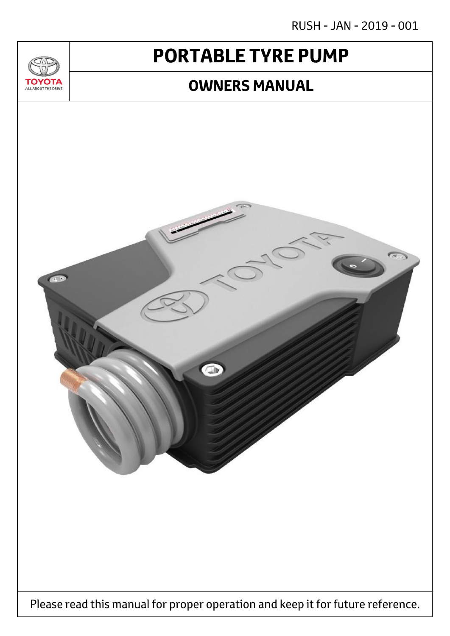RUSH - JAN - 2019 - 001

# **PORTABLE TYRE PUMP**

<u>JU/</u>

**TOYOTA** ALL ABOUT THE DRIVE

### **OWNERS MANUAL**

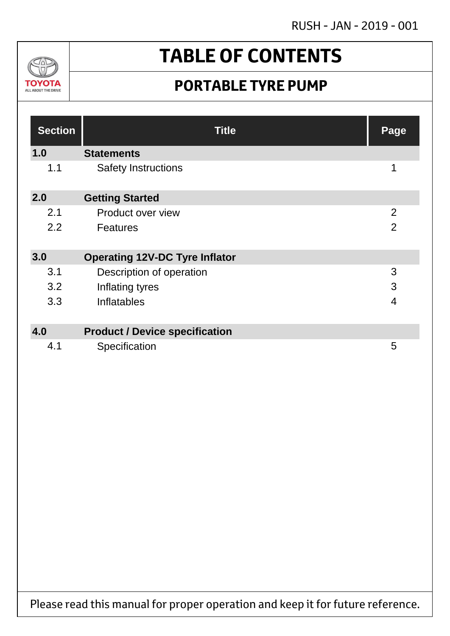RUSH - JAN - 2019 - 001



# **TABLE OF CONTENTS**

## **PORTABLE TYRE PUMP**

| <b>Section</b> | <b>Title</b>                          | Page           |
|----------------|---------------------------------------|----------------|
| 1.0            | <b>Statements</b>                     |                |
| 1.1            | <b>Safety Instructions</b>            | 1              |
| 2.0            | <b>Getting Started</b>                |                |
| 2.1            | Product over view                     | 2              |
| 2.2            | <b>Features</b>                       | $\overline{2}$ |
| 3.0            | <b>Operating 12V-DC Tyre Inflator</b> |                |
| 3.1            | Description of operation              | 3              |
| 3.2            | Inflating tyres                       | 3              |
| 3.3            | Inflatables                           | $\overline{4}$ |
|                |                                       |                |
| 4.0            | <b>Product / Device specification</b> |                |
| 4.1            | Specification                         | 5              |

Please read this manual for proper operation and keep it for future reference.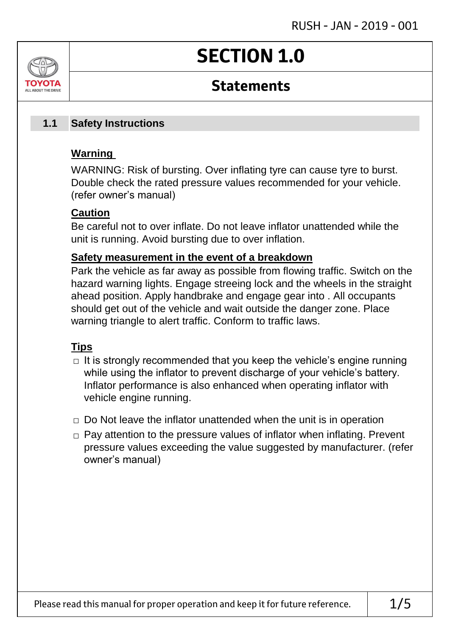# **SECTION 1.0**

## **Statements**

#### **Safety Instructions 1.1**

### **Warning**

ALL AROUT THE DRIV

WARNING: Risk of bursting. Over inflating tyre can cause tyre to burst. Double check the rated pressure values recommended for your vehicle. (refer owner's manual)

### **Caution**

Be careful not to over inflate. Do not leave inflator unattended while the unit is running. Avoid bursting due to over inflation.

### **Safety measurement in the event of a breakdown**

Park the vehicle as far away as possible from flowing traffic. Switch on the hazard warning lights. Engage streeing lock and the wheels in the straight ahead position. Apply handbrake and engage gear into . All occupants should get out of the vehicle and wait outside the danger zone. Place warning triangle to alert traffic. Conform to traffic laws.

### **Tips**

- $\Box$  It is strongly recommended that you keep the vehicle's engine running while using the inflator to prevent discharge of your vehicle's battery. Inflator performance is also enhanced when operating inflator with vehicle engine running.
- $\Box$  Do Not leave the inflator unattended when the unit is in operation
- □ Pay attention to the pressure values of inflator when inflating. Prevent pressure values exceeding the value suggested by manufacturer. (refer owner's manual)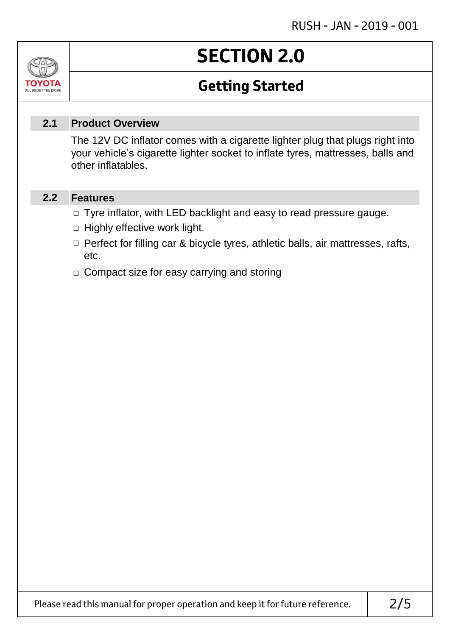### Jn TOVOIL ALL ABOUT THE DRIVE

# **SECTION 2.0**

## **Getting Started**

#### **Product Overview 2.1**

The 12V DC inflator comes with a cigarette lighter plug that plugs right into your vehicle's cigarette lighter socket to inflate tyres, mattresses, balls and other inflatables.

#### **Features 2.2**

- □ Tyre inflator, with LED backlight and easy to read pressure gauge.
- $\Box$  Highly effective work light.
- □ Perfect for filling car & bicycle tyres, athletic balls, air mattresses, rafts, etc.
- □ Compact size for easy carrying and storing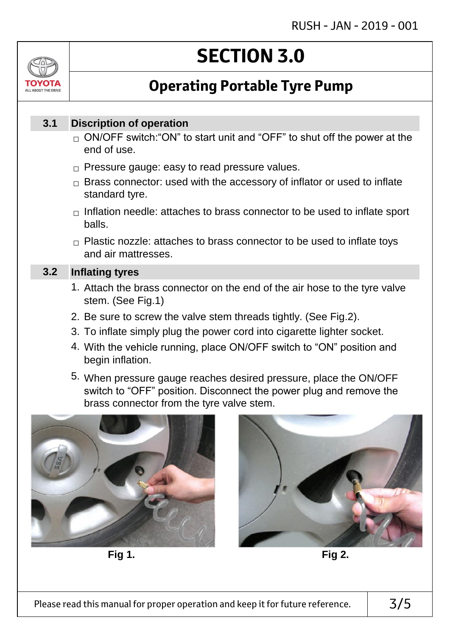

# **SECTION 3.0**

## **Operating Portable Tyre Pump**

#### **Discription of operation 3.1**

- $_\square$  ON/OFF switch:"ON" to start unit and "OFF" to shut off the power at the end of use.
- $\Box$  Pressure gauge: easy to read pressure values.
- $\Box$  Brass connector: used with the accessory of inflator or used to inflate standard tyre.
- $\Box$  Inflation needle: attaches to brass connector to be used to inflate sport balls.
- $\Box$  Plastic nozzle: attaches to brass connector to be used to inflate toys and air mattresses.

#### **Inflating tyres 3.2**

- 1. Attach the brass connector on the end of the air hose to the tyre valve stem. (See Fig.1)
- 2. Be sure to screw the valve stem threads tightly. (See Fig.2).
- 3. To inflate simply plug the power cord into cigarette lighter socket.
- 4. With the vehicle running, place ON/OFF switch to "ON" position and begin inflation.
- 5. When pressure gauge reaches desired pressure, place the ON/OFF switch to "OFF" position. Disconnect the power plug and remove the brass connector from the tyre valve stem.



**Fig 1. Fig 2.**

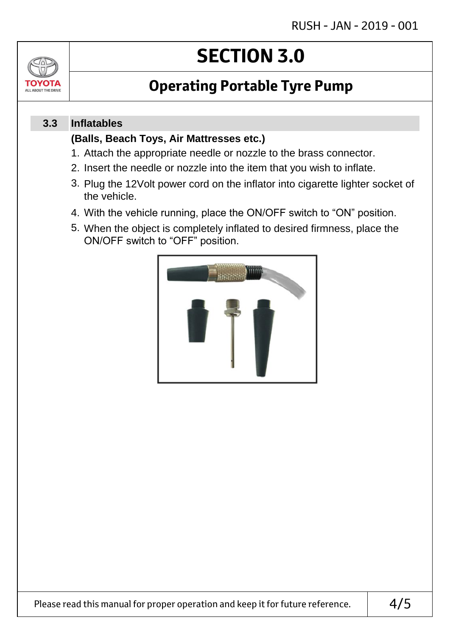

# **SECTION 3.0**

## **Operating Portable Tyre Pump**

#### **Inflatables 3.3**

### **(Balls, Beach Toys, Air Mattresses etc.)**

- 1. Attach the appropriate needle or nozzle to the brass connector.
- 2. Insert the needle or nozzle into the item that you wish to inflate.
- 3. Plug the 12Volt power cord on the inflator into cigarette lighter socket of the vehicle.
- 4. With the vehicle running, place the ON/OFF switch to "ON" position.
- 5. When the object is completely inflated to desired firmness, place the ON/OFF switch to "OFF" position.